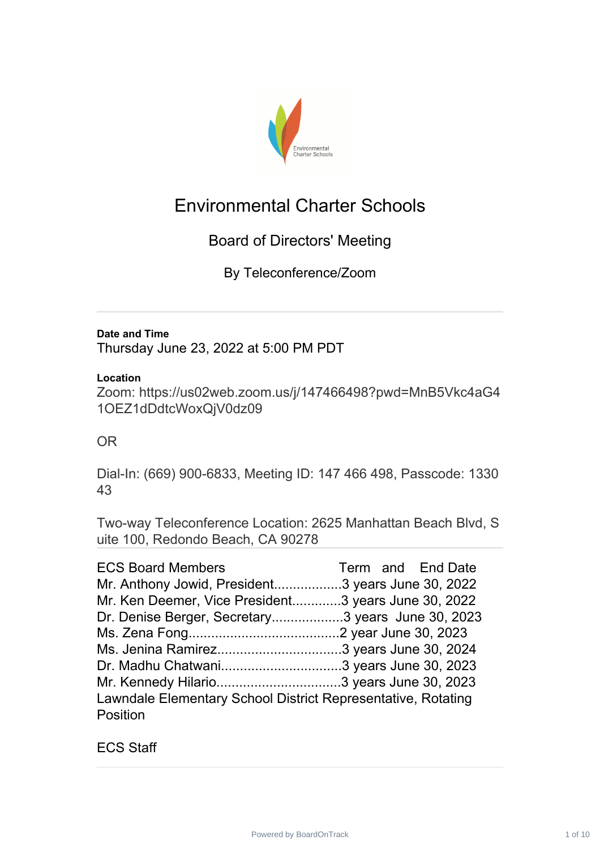

## Environmental Charter Schools

## Board of Directors' Meeting

By Teleconference/Zoom

#### **Date and Time**

Thursday June 23, 2022 at 5:00 PM PDT

#### **Location**

Zoom: [https://us02web.zoom.us/j/147466498?pwd=MnB5Vkc4aG4](https://us02web.zoom.us/j/147466498?pwd=MnB5Vkc4aG41OEZ1dDdtcWoxQjV0dz09) 1OEZ1dDdtcWoxQjV0dz09

#### OR

Dial-In: (669) 900-6833, Meeting ID: 147 466 498, Passcode: 1330 43

Two-way Teleconference Location: 2625 Manhattan Beach Blvd, S uite 100, Redondo Beach, CA 90278

| <b>ECS Board Members</b>                                     | Term and End Date |
|--------------------------------------------------------------|-------------------|
| Mr. Anthony Jowid, President3 years June 30, 2022            |                   |
| Mr. Ken Deemer, Vice President3 years June 30, 2022          |                   |
| Dr. Denise Berger, Secretary3 years June 30, 2023            |                   |
|                                                              |                   |
|                                                              |                   |
|                                                              |                   |
|                                                              |                   |
| Lawndale Elementary School District Representative, Rotating |                   |
| Position                                                     |                   |

ECS Staff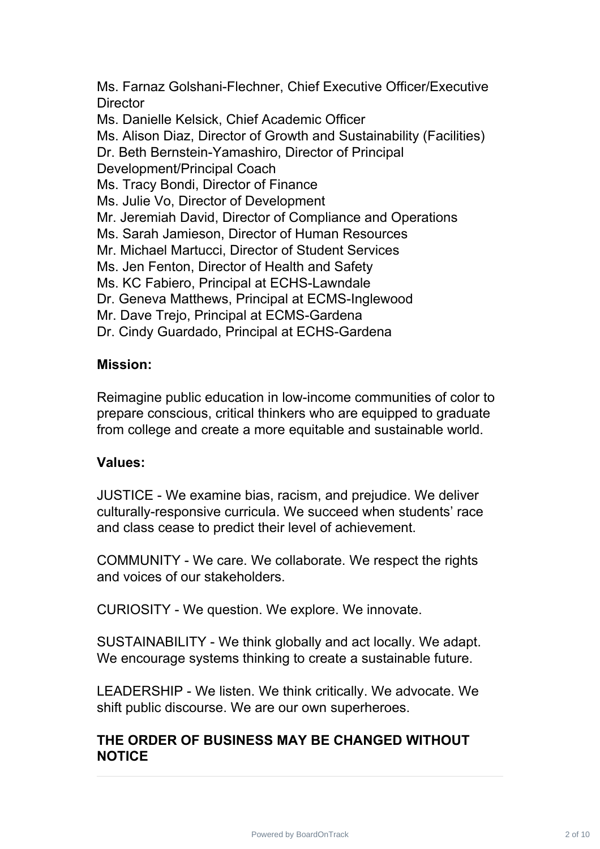Ms. Farnaz Golshani-Flechner, Chief Executive Officer/Executive **Director** 

Ms. Danielle Kelsick, Chief Academic Officer

Ms. Alison Diaz, Director of Growth and Sustainability (Facilities)

Dr. Beth Bernstein-Yamashiro, Director of Principal

Development/Principal Coach

Ms. Tracy Bondi, Director of Finance

Ms. Julie Vo, Director of Development

Mr. Jeremiah David, Director of Compliance and Operations

Ms. Sarah Jamieson, Director of Human Resources

Mr. Michael Martucci, Director of Student Services

Ms. Jen Fenton, Director of Health and Safety

Ms. KC Fabiero, Principal at ECHS-Lawndale

Dr. Geneva Matthews, Principal at ECMS-Inglewood

Mr. Dave Trejo, Principal at ECMS-Gardena

Dr. Cindy Guardado, Principal at ECHS-Gardena

#### **Mission:**

Reimagine public education in low-income communities of color to prepare conscious, critical thinkers who are equipped to graduate from college and create a more equitable and sustainable world.

#### **Values:**

JUSTICE - We examine bias, racism, and prejudice. We deliver culturally-responsive curricula. We succeed when students' race and class cease to predict their level of achievement.

COMMUNITY - We care. We collaborate. We respect the rights and voices of our stakeholders.

CURIOSITY - We question. We explore. We innovate.

SUSTAINABILITY - We think globally and act locally. We adapt. We encourage systems thinking to create a sustainable future.

LEADERSHIP - We listen. We think critically. We advocate. We shift public discourse. We are our own superheroes.

#### **THE ORDER OF BUSINESS MAY BE CHANGED WITHOUT NOTICE**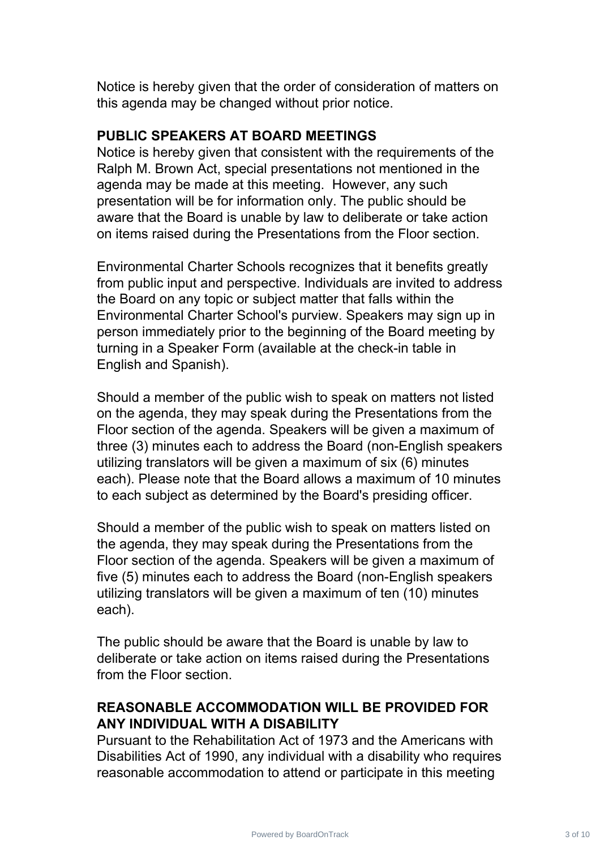Notice is hereby given that the order of consideration of matters on this agenda may be changed without prior notice.

#### **PUBLIC SPEAKERS AT BOARD MEETINGS**

Notice is hereby given that consistent with the requirements of the Ralph M. Brown Act, special presentations not mentioned in the agenda may be made at this meeting. However, any such presentation will be for information only. The public should be aware that the Board is unable by law to deliberate or take action on items raised during the Presentations from the Floor section.

Environmental Charter Schools recognizes that it benefits greatly from public input and perspective. Individuals are invited to address the Board on any topic or subject matter that falls within the Environmental Charter School's purview. Speakers may sign up in person immediately prior to the beginning of the Board meeting by turning in a Speaker Form (available at the check-in table in English and Spanish).

Should a member of the public wish to speak on matters not listed on the agenda, they may speak during the Presentations from the Floor section of the agenda. Speakers will be given a maximum of three (3) minutes each to address the Board (non-English speakers utilizing translators will be given a maximum of six (6) minutes each). Please note that the Board allows a maximum of 10 minutes to each subject as determined by the Board's presiding officer.

Should a member of the public wish to speak on matters listed on the agenda, they may speak during the Presentations from the Floor section of the agenda. Speakers will be given a maximum of five (5) minutes each to address the Board (non-English speakers utilizing translators will be given a maximum of ten (10) minutes each).

The public should be aware that the Board is unable by law to deliberate or take action on items raised during the Presentations from the Floor section.

### **REASONABLE ACCOMMODATION WILL BE PROVIDED FOR ANY INDIVIDUAL WITH A DISABILITY**

Pursuant to the Rehabilitation Act of 1973 and the Americans with Disabilities Act of 1990, any individual with a disability who requires reasonable accommodation to attend or participate in this meeting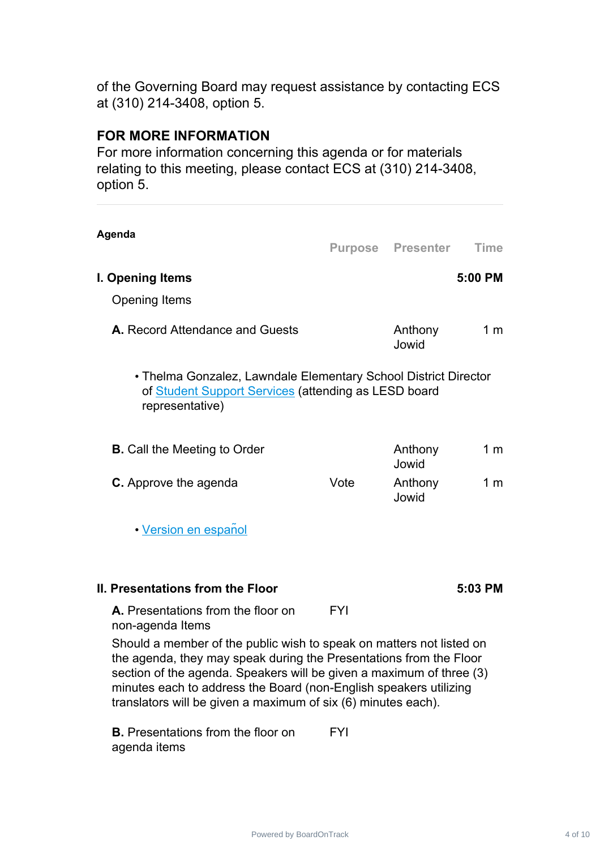of the Governing Board may request assistance by contacting ECS at (310) 214-3408, option 5.

#### **FOR MORE INFORMATION**

agenda items

For more information concerning this agenda or for materials relating to this meeting, please contact ECS at (310) 214-3408, option 5.

| Agenda                                                                                                                                                                                                                                                                                                                                                   |            |                          |                |
|----------------------------------------------------------------------------------------------------------------------------------------------------------------------------------------------------------------------------------------------------------------------------------------------------------------------------------------------------------|------------|--------------------------|----------------|
|                                                                                                                                                                                                                                                                                                                                                          |            | <b>Purpose Presenter</b> | <b>Time</b>    |
| I. Opening Items                                                                                                                                                                                                                                                                                                                                         |            |                          | 5:00 PM        |
| <b>Opening Items</b>                                                                                                                                                                                                                                                                                                                                     |            |                          |                |
| A. Record Attendance and Guests                                                                                                                                                                                                                                                                                                                          |            | Anthony<br>Jowid         | 1 <sub>m</sub> |
| • Thelma Gonzalez, Lawndale Elementary School District Director<br>of Student Support Services (attending as LESD board<br>representative)                                                                                                                                                                                                               |            |                          |                |
| <b>B.</b> Call the Meeting to Order                                                                                                                                                                                                                                                                                                                      |            | Anthony<br>Jowid         | 1 <sub>m</sub> |
| <b>C.</b> Approve the agenda                                                                                                                                                                                                                                                                                                                             | Vote       | Anthony<br>Jowid         | 1 <sub>m</sub> |
| • Version en español                                                                                                                                                                                                                                                                                                                                     |            |                          |                |
| II. Presentations from the Floor                                                                                                                                                                                                                                                                                                                         |            |                          | 5:03 PM        |
| A. Presentations from the floor on<br>non-agenda Items                                                                                                                                                                                                                                                                                                   | <b>FYI</b> |                          |                |
| Should a member of the public wish to speak on matters not listed on<br>the agenda, they may speak during the Presentations from the Floor<br>section of the agenda. Speakers will be given a maximum of three (3)<br>minutes each to address the Board (non-English speakers utilizing<br>translators will be given a maximum of six (6) minutes each). |            |                          |                |
| <b>B.</b> Presentations from the floor on                                                                                                                                                                                                                                                                                                                | <b>FYI</b> |                          |                |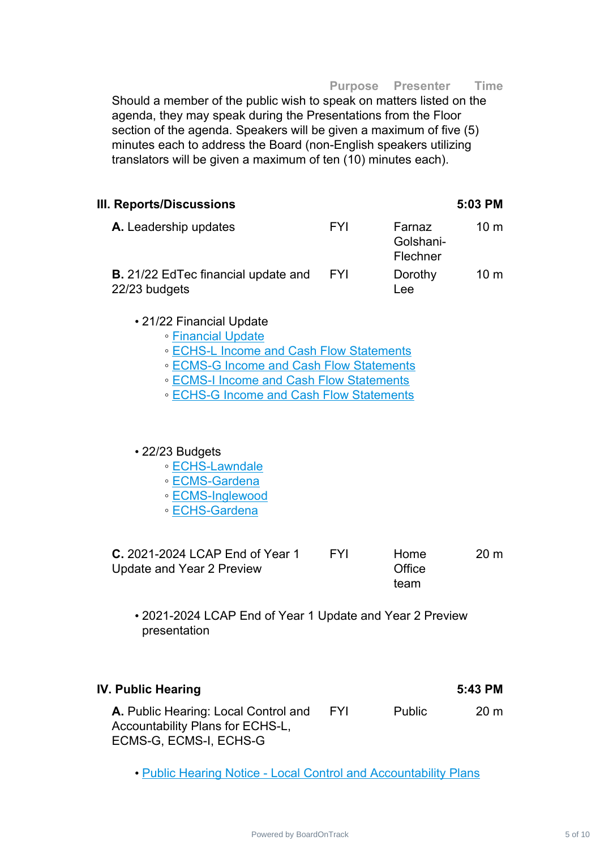**Purpose Presenter Time**

Should a member of the public wish to speak on matters listed on the agenda, they may speak during the Presentations from the Floor section of the agenda. Speakers will be given a maximum of five (5) minutes each to address the Board (non-English speakers utilizing translators will be given a maximum of ten (10) minutes each).

| III. Reports/Discussions                                    |            |                                 | 5:03 PM         |
|-------------------------------------------------------------|------------|---------------------------------|-----------------|
| A. Leadership updates                                       | <b>FYI</b> | Farnaz<br>Golshani-<br>Flechner | 10 <sub>m</sub> |
| <b>B.</b> 21/22 EdTec financial update and<br>22/23 budgets | <b>FYI</b> | Dorothy<br>Lee                  | 10 <sub>m</sub> |
| • 21/22 Financial LIndate                                   |            |                                 |                 |

- 21/22 Financial Update
	- [Financial](https://ecsonline.box.com/s/5sy2qeeb0fw7pdu8wu5yi5h4teaqada9) Update
	- ECHS-L Income and Cash Flow [Statements](https://ecsonline.box.com/s/6g8vvw7fu4y8ctw40t217o6bd16jpxtg)
	- ECMS-G Income and Cash Flow [Statements](https://ecsonline.box.com/s/qiydohmx7gt9wszdbiv91olakjp5feh9)
	- ECMS-I Income and Cash Flow [Statements](https://ecsonline.box.com/s/c43gwekv4ar2dvgnw29c33lxfmzk1zvk)
	- ECHS-G Income and Cash Flow [Statements](https://ecsonline.box.com/s/vrgvf0kn67pspm36yrj6sre42s5kcsqh)

• 22/23 Budgets

- [ECHS-Lawndale](https://ecsonline.box.com/s/4xi09czgpozn10prwxtt6wgmqlj8mvjo)
- [ECMS-Gardena](https://ecsonline.box.com/s/cbpg56f8zz10qzn1hqo6bd7nrgq22qpb)
- [ECMS-Inglewood](https://ecsonline.box.com/s/h6m01pkxfu1wcj6k1j2k0xyr435hzlwo)
- [ECHS-Gardena](https://ecsonline.box.com/s/m95zijeya14oeqbj5ya11akop971fdcb)

| <b>C.</b> 2021-2024 LCAP End of Year 1 | <b>EYI</b> | <b>Home</b> | 20 m |
|----------------------------------------|------------|-------------|------|
| Update and Year 2 Preview              |            | Office      |      |
|                                        |            | team        |      |

• 2021-2024 LCAP End of Year 1 Update and Year 2 Preview presentation

| IV. Public Hearing                                                                                 |            |               | 5:43 PM        |
|----------------------------------------------------------------------------------------------------|------------|---------------|----------------|
| A. Public Hearing: Local Control and<br>Accountability Plans for ECHS-L,<br>ECMS-G, ECMS-I, ECHS-G | <b>FYI</b> | <b>Public</b> | $20 \text{ m}$ |

• Public Hearing Notice - Local Control and [Accountability](https://ecsonline.box.com/s/55lxthqt5rey581etnn2ql7sj2ya4zqm) Plans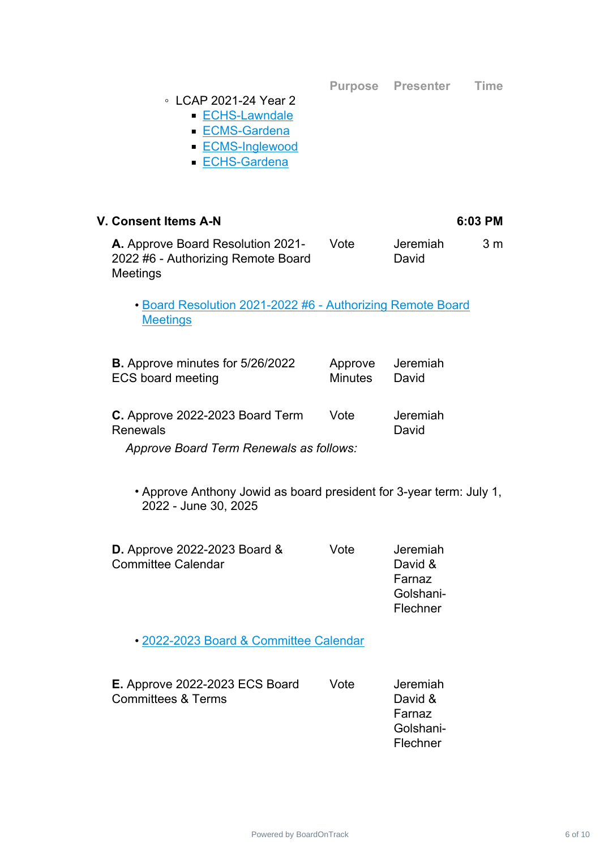**Purpose Presenter Time**

#### ◦ LCAP 2021-24 Year 2

- [ECHS-Lawndale](https://ecsonline.box.com/s/5q6b74wirjlx4swo4vqhxbh7i7n2umhi)
- [ECMS-Gardena](https://ecsonline.box.com/s/3ndq92jc289lshjkzins03g3a3vrnf81)
- [ECMS-Inglewood](https://ecsonline.box.com/s/n1hmkpyhifg4opozfxkml4dhqodp87vt)
- [ECHS-Gardena](https://ecsonline.box.com/s/fxbo4ckak6q0ttcjz1rt7otr2w4gh6y9)

# **V. Consent Items A-N 6:03 PM**

**A.** Approve Board Resolution 2021- 2022 #6 - Authorizing Remote Board Meetings Vote Jeremiah David 3 m

• Board Resolution 2021-2022 #6 - [Authorizing](https://ecsonline.box.com/s/q9dvsqgc5fd2sv47dzocucpo3yrspgqp) Remote Board **Meetings** 

| <b>B.</b> Approve minutes for 5/26/2022<br><b>ECS board meeting</b> | <b>Minutes</b> | Approve Jeremiah<br>David |
|---------------------------------------------------------------------|----------------|---------------------------|
| C. Approve 2022-2023 Board Term<br><b>Renewals</b>                  | Vote           | Jeremiah<br>David         |

*Approve Board Term Renewals as follows:*

• Approve Anthony Jowid as board president for 3-year term: July 1, 2022 - June 30, 2025

| <b>D.</b> Approve 2022-2023 Board & | Vote | Jeremiah  |
|-------------------------------------|------|-----------|
| <b>Committee Calendar</b>           |      | David &   |
|                                     |      | Farnaz    |
|                                     |      | Golshani- |
|                                     |      | Flechner  |
|                                     |      |           |

• 2022-2023 Board & [Committee](https://ecsonline.box.com/s/tru9yru314stgtekkp92pdh6hfvia9is) Calendar

| <b>E.</b> Approve 2022-2023 ECS Board | Vote | Jeremiah  |
|---------------------------------------|------|-----------|
| <b>Committees &amp; Terms</b>         |      | David &   |
|                                       |      | Farnaz    |
|                                       |      | Golshani- |
|                                       |      | Flechner  |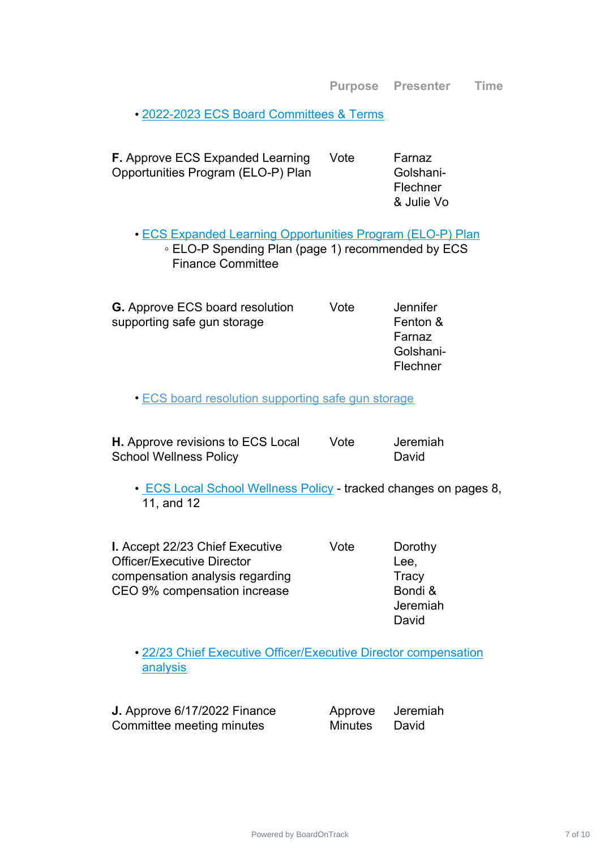• 2022-2023 ECS Board [Committees](https://ecsonline.box.com/s/3pxfmqmryp6ol0ripy151aoqayhnxqxw) & Terms

| <b>F.</b> Approve ECS Expanded Learning<br>Opportunities Program (ELO-P) Plan                                                                      | Vote | Farnaz<br>Golshani-<br>Flechner<br>& Julie Vo                  |
|----------------------------------------------------------------------------------------------------------------------------------------------------|------|----------------------------------------------------------------|
| <b>. ECS Expanded Learning Opportunities Program (ELO-P) Plan</b><br>∘ ELO-P Spending Plan (page 1) recommended by ECS<br><b>Finance Committee</b> |      |                                                                |
| <b>G.</b> Approve ECS board resolution<br>supporting safe gun storage                                                                              | Vote | <b>Jennifer</b><br>Fenton &<br>Farnaz<br>Golshani-<br>Flechner |
| <b>ECS board resolution supporting safe gun storage</b>                                                                                            |      |                                                                |
| H. Approve revisions to ECS Local<br><b>School Wellness Policy</b>                                                                                 | Vote | Jeremiah<br>David                                              |
| • ECS Local School Wellness Policy - tracked changes on pages 8,<br>11, and 12                                                                     |      |                                                                |
| I. Accept 22/23 Chief Executive<br><b>Officer/Executive Director</b><br>compensation analysis regarding<br>CEO 9% compensation increase            | Vote | Dorothy<br>Lee,<br>Tracy<br>Bondi &<br>Jeremiah<br>David       |
| • 22/23 Chief Executive Officer/Executive Director compensation<br>analysis                                                                        |      |                                                                |

**J.** Approve 6/17/2022 Finance Committee meeting minutes

Approve Minutes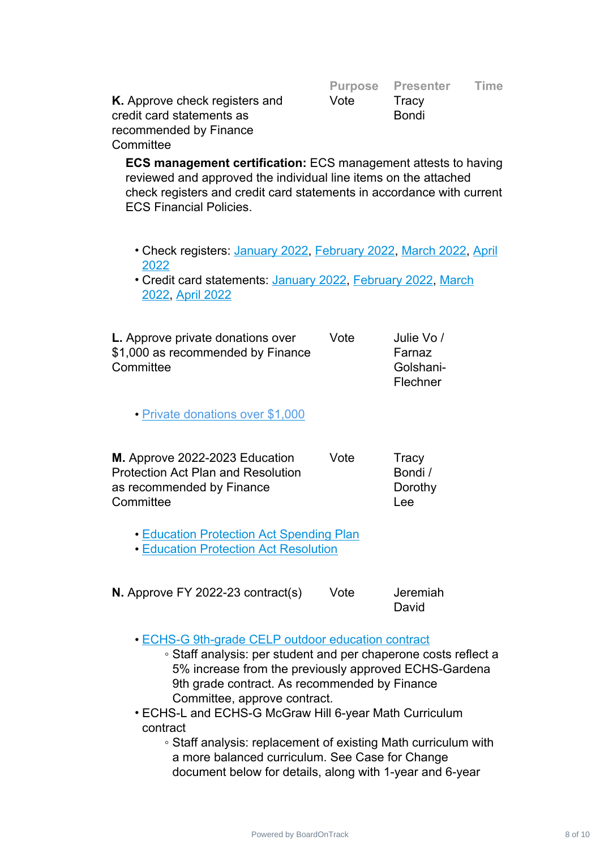|                                       |      | Purpose Presenter Time |  |
|---------------------------------------|------|------------------------|--|
| <b>K.</b> Approve check registers and | Vote | Tracy                  |  |
| credit card statements as             |      | <b>Bondi</b>           |  |
| recommended by Finance                |      |                        |  |
| Committee                             |      |                        |  |

**ECS management certification:** ECS management attests to having reviewed and approved the individual line items on the attached check registers and credit card statements in accordance with current ECS Financial Policies.

- Check registers: [January](https://ecsonline.box.com/s/ru71woqr1lhgefynmafcyyvf5bri47cx) 2022, [February](https://ecsonline.box.com/s/g1n1z9c47brnrk364vs1cihqwthj07og) 2022, [March](https://ecsonline.box.com/s/djbn0lxfotsm0kaeugtfoeglmwpabprb) 2022, [April](https://ecsonline.box.com/s/ittuhmfpcaa1glubt20rl2nehx4j5obn) 2022
- Credit card statements: [January](https://ecsonline.box.com/s/kdd0vxl5x9t3qrjelfiuvsvvj0j0akwb) 2022, [February](https://ecsonline.box.com/s/cwoqswopgwh8vba8gn8ikx9kj0gir05t) 2022, [March](https://ecsonline.box.com/s/fzavpp2eujhkzesuk3zlxkkr8n4dmeze) 2022, April [2022](https://ecsonline.box.com/s/ciwhfqmrwejrzvfj903uvx3pfq92zn0v)

| <b>L.</b> Approve private donations over | Vote | Julie Vo / |
|------------------------------------------|------|------------|
| \$1,000 as recommended by Finance        |      | Farnaz     |
| Committee                                |      | Golshani-  |
|                                          |      | Flechner   |

• Private [donations](https://ecsonline.box.com/s/2vz6m4wr2y304wszwroh8ztsxt9y3ifg) over \$1,000

| M. Approve 2022-2023 Education            | Vote | Tracy   |
|-------------------------------------------|------|---------|
| <b>Protection Act Plan and Resolution</b> |      | Bondi / |
| as recommended by Finance                 |      | Dorothy |
| Committee                                 |      | l ee    |

• Education [Protection](https://ecsonline.box.com/s/g3b4x5vrjxpx1325qoivru7rf66a0n21) Act Spending Plan

• Education Protection Act [Resolution](https://ecsonline.box.com/s/uyoxymo5psug0r9na3z4wqvnkvu8cklo)

| <b>N.</b> Approve FY 2022-23 contract(s) | Vote | Jeremiah |
|------------------------------------------|------|----------|
|                                          |      | David    |

- ECHS-G 9th-grade CELP outdoor [education](https://ecsonline.box.com/s/s81rdiaag6glmaxwh0vyolw2kirfzcqh) contract
	- Staff analysis: per student and per chaperone costs reflect a 5% increase from the previously approved ECHS-Gardena 9th grade contract. As recommended by Finance Committee, approve contract.
- ECHS-L and ECHS-G McGraw Hill 6-year Math Curriculum contract
	- Staff analysis: replacement of existing Math curriculum with a more balanced curriculum. See Case for Change document below for details, along with 1-year and 6-year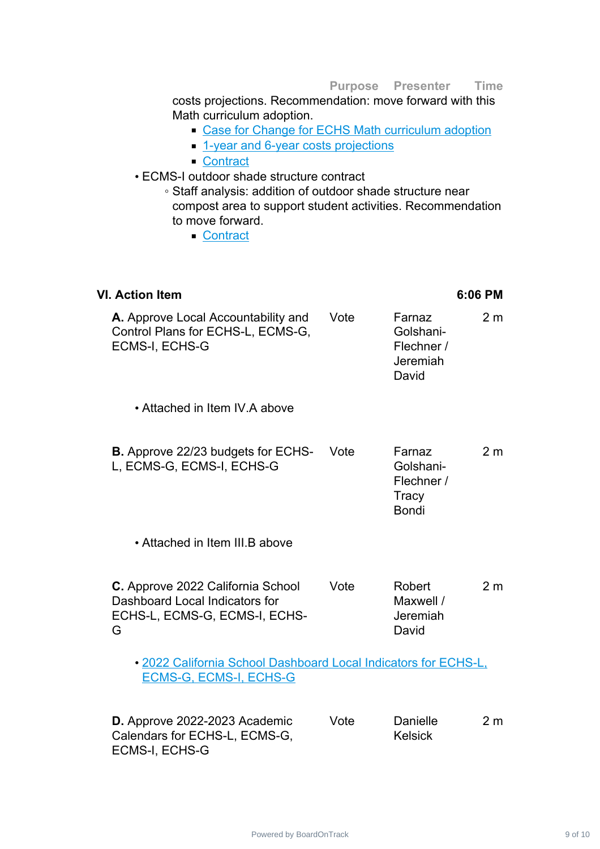costs projections. Recommendation: move forward with this Math curriculum adoption.

- Case for Change for ECHS Math [curriculum](https://ecsonline.box.com/s/r3vbke6hxbc7n8pwigqj98jl9xpsoyet) adoption
- 1-year and 6-year costs [projections](https://ecsonline.box.com/s/g6rgm7tevbu3u59eucylgecpexsp54zg)
- [Contract](https://ecsonline.box.com/s/fh6m6vl6g5eykfiusx31hg1b2s0f83o7)

#### • ECMS-I outdoor shade structure contract

- Staff analysis: addition of outdoor shade structure near compost area to support student activities. Recommendation to move forward.
	- [Contract](https://ecsonline.box.com/s/4xyu4qprt1cwg0hia7h3rlr225e0p7rg)

#### **VI. Action Item 6:06 PM**

| A. Approve Local Accountability and<br>Control Plans for ECHS-L, ECMS-G,<br><b>ECMS-I, ECHS-G</b>         | Vote | Farnaz<br>Golshani-<br>Flechner /<br>Jeremiah<br>David     | 2 <sub>m</sub> |
|-----------------------------------------------------------------------------------------------------------|------|------------------------------------------------------------|----------------|
| • Attached in Item IV A above                                                                             |      |                                                            |                |
| <b>B.</b> Approve 22/23 budgets for ECHS-<br>L, ECMS-G, ECMS-I, ECHS-G                                    | Vote | Farnaz<br>Golshani-<br>Flechner /<br>Tracy<br><b>Bondi</b> | 2 <sub>m</sub> |
| • Attached in Item III.B above                                                                            |      |                                                            |                |
| C. Approve 2022 California School<br>Dashboard Local Indicators for<br>ECHS-L, ECMS-G, ECMS-I, ECHS-<br>G | Vote | Robert<br>Maxwell /<br>Jeremiah<br>David                   | 2 <sub>m</sub> |
| • 2022 California School Dashboard Local Indicators for ECHS-L,<br><b>ECMS-G, ECMS-I, ECHS-G</b>          |      |                                                            |                |
| D. Approve 2022-2023 Academic<br>Calendars for ECHS-L, ECMS-G,<br><b>ECMS-I, ECHS-G</b>                   | Vote | <b>Danielle</b><br><b>Kelsick</b>                          | 2 <sub>m</sub> |